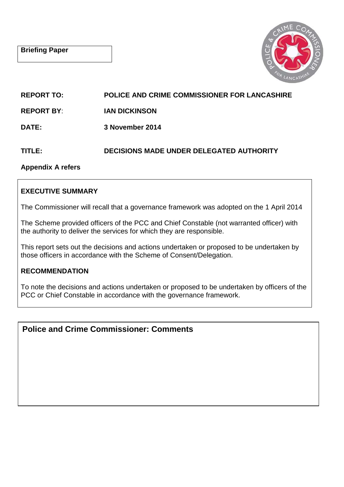

**REPORT TO: POLICE AND CRIME COMMISSIONER FOR LANCASHIRE** 

**REPORT BY**: **IAN DICKINSON**

**DATE: 3 November 2014** 

# **TITLE: DECISIONS MADE UNDER DELEGATED AUTHORITY**

**Appendix A refers** 

# **EXECUTIVE SUMMARY**

The Commissioner will recall that a governance framework was adopted on the 1 April 2014

The Scheme provided officers of the PCC and Chief Constable (not warranted officer) with the authority to deliver the services for which they are responsible.

This report sets out the decisions and actions undertaken or proposed to be undertaken by those officers in accordance with the Scheme of Consent/Delegation.

# **RECOMMENDATION**

To note the decisions and actions undertaken or proposed to be undertaken by officers of the PCC or Chief Constable in accordance with the governance framework.

# **Police and Crime Commissioner: Comments**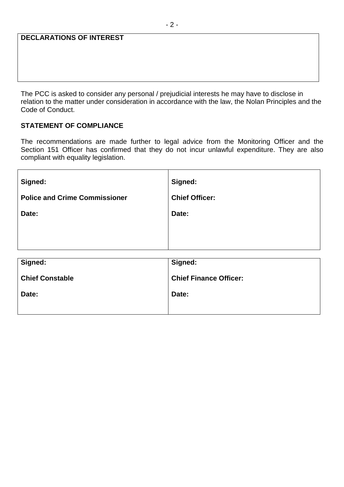## **DECLARATIONS OF INTEREST**

The PCC is asked to consider any personal / prejudicial interests he may have to disclose in relation to the matter under consideration in accordance with the law, the Nolan Principles and the Code of Conduct.

## **STATEMENT OF COMPLIANCE**

The recommendations are made further to legal advice from the Monitoring Officer and the Section 151 Officer has confirmed that they do not incur unlawful expenditure. They are also compliant with equality legislation.

| Signed:                              | Signed:                       |
|--------------------------------------|-------------------------------|
| <b>Police and Crime Commissioner</b> | <b>Chief Officer:</b>         |
| Date:                                | Date:                         |
|                                      |                               |
|                                      |                               |
| Signed:                              | Signed:                       |
| <b>Chief Constable</b>               | <b>Chief Finance Officer:</b> |
| Date:                                | Date:                         |
|                                      |                               |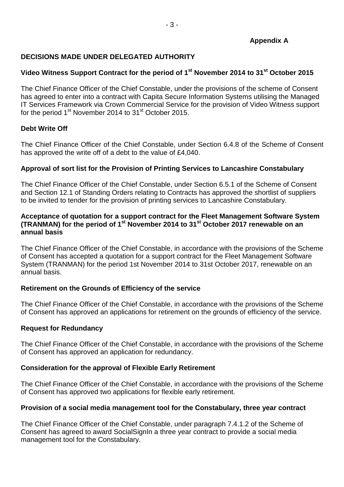# **DECISIONS MADE UNDER DELEGATED AUTHORITY**

# **Video Witness Support Contract for the period of 1st November 2014 to 31st October 2015**

The Chief Finance Officer of the Chief Constable, under the provisions of the scheme of Consent has agreed to enter into a contract with Capita Secure Information Systems utilising the Managed IT Services Framework via Crown Commercial Service for the provision of Video Witness support for the period 1<sup>st</sup> November 2014 to 31<sup>st</sup> October 2015.

## **Debt Write Off**

The Chief Finance Officer of the Chief Constable, under Section 6.4.8 of the Scheme of Consent has approved the write off of a debt to the value of £4,040.

## **Approval of sort list for the Provision of Printing Services to Lancashire Constabulary**

The Chief Finance Officer of the Chief Constable, under Section 6.5.1 of the Scheme of Consent and Section 12.1 of Standing Orders relating to Contracts has approved the shortlist of suppliers to be invited to tender for the provision of printing services to Lancashire Constabulary.

### **Acceptance of quotation for a support contract for the Fleet Management Software System (TRANMAN) for the period of 1st November 2014 to 31st October 2017 renewable on an annual basis**

The Chief Finance Officer of the Chief Constable, in accordance with the provisions of the Scheme of Consent has accepted a quotation for a support contract for the Fleet Management Software System (TRANMAN) for the period 1st November 2014 to 31st October 2017, renewable on an annual basis.

#### **Retirement on the Grounds of Efficiency of the service**

The Chief Finance Officer of the Chief Constable, in accordance with the provisions of the Scheme of Consent has approved an applications for retirement on the grounds of efficiency of the service.

#### **Request for Redundancy**

The Chief Finance Officer of the Chief Constable, in accordance with the provisions of the Scheme of Consent has approved an application for redundancy.

#### **Consideration for the approval of Flexible Early Retirement**

The Chief Finance Officer of the Chief Constable, in accordance with the provisions of the Scheme of Consent has approved two applications for flexible early retirement.

#### **Provision of a social media management tool for the Constabulary, three year contract**

The Chief Finance Officer of the Chief Constable, under paragraph 7.4.1.2 of the Scheme of Consent has agreed to award SocialSignIn a three year contract to provide a social media management tool for the Constabulary.